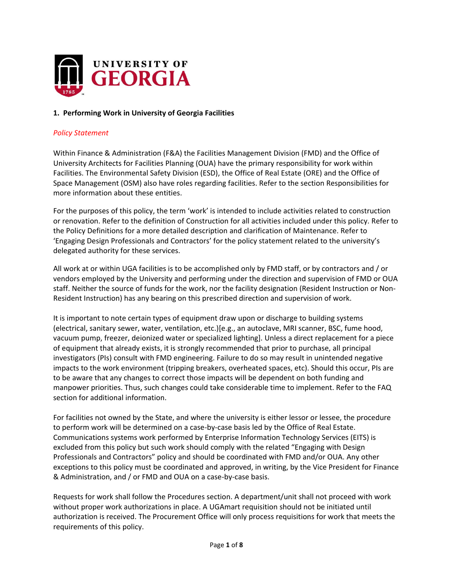

## **1. Performing Work in University of Georgia Facilities**

### *Policy Statement*

Within Finance & Administration (F&A) the Facilities Management Division (FMD) and the Office of University Architects for Facilities Planning (OUA) have the primary responsibility for work within Facilities. The Environmental Safety Division (ESD), the Office of Real Estate (ORE) and the Office of Space Management (OSM) also have roles regarding facilities. Refer to the section Responsibilities for more information about these entities.

For the purposes of this policy, the term 'work' is intended to include activities related to construction or renovation. Refer to the definition of Construction for all activities included under this policy. Refer to the Policy Definitions for a more detailed description and clarification of Maintenance. Refer to 'Engaging Design Professionals and Contractors' for the policy statement related to the university's delegated authority for these services.

staff. Neither the source of funds for the work, nor the facility designation (Resident Instruction or Non-All work at or within UGA facilities is to be accomplished only by FMD staff, or by contractors and / or vendors employed by the University and performing under the direction and supervision of FMD or OUA Resident Instruction) has any bearing on this prescribed direction and supervision of work.

It is important to note certain types of equipment draw upon or discharge to building systems (electrical, sanitary sewer, water, ventilation, etc.)[e.g., an autoclave, MRI scanner, BSC, fume hood, vacuum pump, freezer, deionized water or specialized lighting]. Unless a direct replacement for a piece of equipment that already exists, it is strongly recommended that prior to purchase, all principal investigators (PIs) consult with FMD engineering. Failure to do so may result in unintended negative impacts to the work environment (tripping breakers, overheated spaces, etc). Should this occur, PIs are to be aware that any changes to correct those impacts will be dependent on both funding and manpower priorities. Thus, such changes could take considerable time to implement. Refer to the FAQ section for additional information.

For facilities not owned by the State, and where the university is either lessor or lessee, the procedure to perform work will be determined on a case-by-case basis led by the Office of Real Estate. Communications systems work performed by Enterprise Information Technology Services (EITS) is excluded from this policy but such work should comply with the related "Engaging with Design Professionals and Contractors" policy and should be coordinated with FMD and/or OUA. Any other exceptions to this policy must be coordinated and approved, in writing, by the Vice President for Finance & Administration, and / or FMD and OUA on a case-by-case basis.

Requests for work shall follow the Procedures section. A department/unit shall not proceed with work without proper work authorizations in place. A UGAmart requisition should not be initiated until authorization is received. The Procurement Office will only process requisitions for work that meets the requirements of this policy.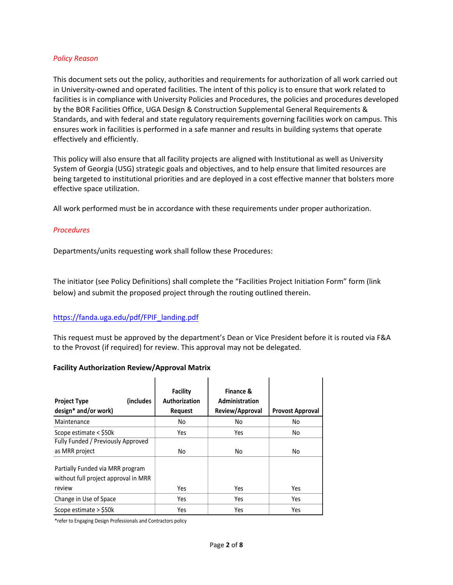### *Policy Reason*

This document sets out the policy, authorities and requirements for authorization of all work carried out in University-owned and operated facilities. The intent of this policy is to ensure that work related to facilities is in compliance with University Policies and Procedures, the policies and procedures developed by the BOR Facilities Office, UGA Design & Construction Supplemental General Requirements & Standards, and with federal and state regulatory requirements governing facilities work on campus. This ensures work in facilities is performed in a safe manner and results in building systems that operate effectively and efficiently.

This policy will also ensure that all facility projects are aligned with Institutional as well as University System of Georgia (USG) strategic goals and objectives, and to help ensure that limited resources are being targeted to institutional priorities and are deployed in a cost effective manner that bolsters more effective space utilization.

All work performed must be in accordance with these requirements under proper authorization.

## *Procedures*

Departments/units requesting work shall follow these Procedures:

The initiator (see Policy Definitions) shall complete the "Facilities Project Initiation Form" form (link below) and submit the proposed project through the routing outlined therein.

## [https://fanda.uga.edu/pdf/FPIF\\_landing.pdf](https://fanda.uga.edu/sites/default/files/pdfs/FPIF_landing.pdf)

This request must be approved by the department's Dean or Vice President before it is routed via F&A to the Provost (if required) for review. This approval may not be delegated.

#### **Facility Authorization Review/Approval Matrix**

| (includes)<br><b>Project Type</b><br>design* and/or work)                | Facility<br>Authorization<br><b>Request</b> | Finance &<br>Administration<br>Review/Approval | <b>Provost Approval</b> |
|--------------------------------------------------------------------------|---------------------------------------------|------------------------------------------------|-------------------------|
| Maintenance                                                              | No                                          | No                                             | No                      |
| Scope estimate < \$50k                                                   | Yes                                         | Yes                                            | No                      |
| Fully Funded / Previously Approved                                       |                                             |                                                |                         |
| as MRR project                                                           | No                                          | No                                             | No                      |
| Partially Funded via MRR program<br>without full project approval in MRR |                                             |                                                |                         |
| review                                                                   | Yes                                         | Yes                                            | Yes                     |
| Change in Use of Space                                                   | Yes                                         | Yes                                            | Yes                     |
| Scope estimate > \$50k                                                   | Yes                                         | Yes                                            | Yes                     |

\*refer to Engaging Design Professionals and Contractors policy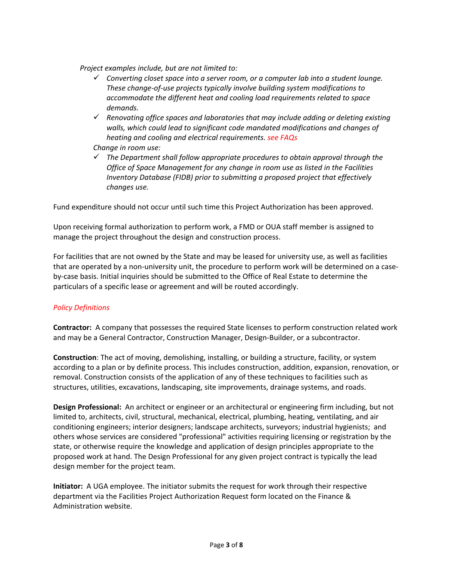*Project examples include, but are not limited to:*

- *Converting closet space into a server room, or a computer lab into a student lounge. These change-of-use projects typically involve building system modifications to accommodate the different heat and cooling load requirements related to space demands.*
- *Renovating office spaces and laboratories that may include adding or deleting existing walls, which could lead to significant code mandated modifications and changes of heating and cooling and electrical requirements. see FAQs*

## *Change in room use:*

 *The Department shall follow appropriate procedures to obtain approval through the Office of Space Management for any change in room use as listed in the Facilities Inventory Database (FIDB) prior to submitting a proposed project that effectively changes use.*

Fund expenditure should not occur until such time this Project Authorization has been approved.

Upon receiving formal authorization to perform work, a FMD or OUA staff member is assigned to manage the project throughout the design and construction process.

For facilities that are not owned by the State and may be leased for university use, as well as facilities that are operated by a non-university unit, the procedure to perform work will be determined on a caseby-case basis. Initial inquiries should be submitted to the Office of Real Estate to determine the particulars of a specific lease or agreement and will be routed accordingly.

## *Policy Definitions*

**Contractor:** A company that possesses the required State licenses to perform construction related work and may be a General Contractor, Construction Manager, Design-Builder, or a subcontractor.

**Construction**: The act of moving, demolishing, installing, or building a structure, facility, or system according to a plan or by definite process. This includes construction, addition, expansion, renovation, or removal. Construction consists of the application of any of these techniques to facilities such as structures, utilities, excavations, landscaping, site improvements, drainage systems, and roads.

**Design Professional:** An architect or engineer or an architectural or engineering firm including, but not limited to, architects, civil, structural, mechanical, electrical, plumbing, heating, ventilating, and air conditioning engineers; interior designers; landscape architects, surveyors; industrial hygienists; and others whose services are considered "professional" activities requiring licensing or registration by the state, or otherwise require the knowledge and application of design principles appropriate to the proposed work at hand. The Design Professional for any given project contract is typically the lead design member for the project team.

**Initiator:** A UGA employee. The initiator submits the request for work through their respective department via the Facilities Project Authorization Request form located on the Finance & Administration website.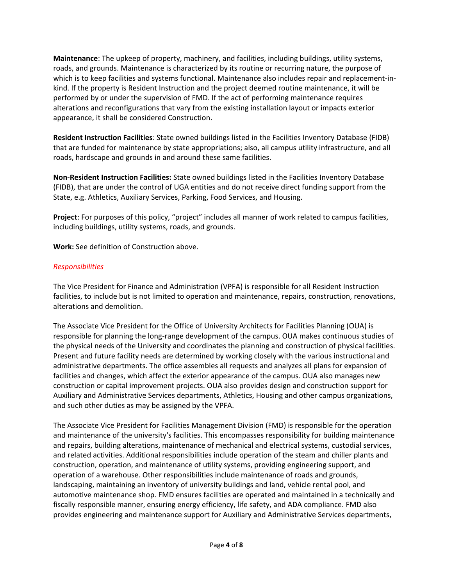**Maintenance**: The upkeep of property, machinery, and facilities, including buildings, utility systems, roads, and grounds. Maintenance is characterized by its routine or recurring nature, the purpose of which is to keep facilities and systems functional. Maintenance also includes repair and replacement-inkind. If the property is Resident Instruction and the project deemed routine maintenance, it will be performed by or under the supervision of FMD. If the act of performing maintenance requires alterations and reconfigurations that vary from the existing installation layout or impacts exterior appearance, it shall be considered Construction.

**Resident Instruction Facilities**: State owned buildings listed in the Facilities Inventory Database (FIDB) that are funded for maintenance by state appropriations; also, all campus utility infrastructure, and all roads, hardscape and grounds in and around these same facilities.

**Non-Resident Instruction Facilities:** State owned buildings listed in the Facilities Inventory Database (FIDB), that are under the control of UGA entities and do not receive direct funding support from the State, e.g. Athletics, Auxiliary Services, Parking, Food Services, and Housing.

**Project**: For purposes of this policy, "project" includes all manner of work related to campus facilities, including buildings, utility systems, roads, and grounds.

**Work:** See definition of Construction above.

# *Responsibilities*

facilities, to include but is not limited to operation and maintenance, repairs, construction, renovations, The Vice President for Finance and Administration (VPFA) is responsible for all Resident Instruction alterations and demolition.

The Associate Vice President for the Office of University Architects for Facilities Planning (OUA) is responsible for planning the long-range development of the campus. OUA makes continuous studies of the physical needs of the University and coordinates the planning and construction of physical facilities. Present and future facility needs are determined by working closely with the various instructional and administrative departments. The office assembles all requests and analyzes all plans for expansion of facilities and changes, which affect the exterior appearance of the campus. OUA also manages new construction or capital improvement projects. OUA also provides design and construction support for Auxiliary and Administrative Services departments, Athletics, Housing and other campus organizations, and such other duties as may be assigned by the VPFA.

The [Associate Vice President f](mailto:rfj@uga.edu)or Facilities Management Division (FMD) is responsible for the operation and maintenance of the university's facilities. This encompasses responsibility for building maintenance and repairs, building alterations, maintenance of mechanical and electrical systems, custodial services, and related activities. Additional responsibilities include operation of the steam and chiller plants and construction, operation, and maintenance of utility systems, providing engineering support, and operation of a warehouse. Other responsibilities include maintenance of roads and grounds, landscaping, maintaining an inventory of university buildings and land, vehicle rental pool, and automotive maintenance shop. FMD ensures facilities are operated and maintained in a technically and fiscally responsible manner, ensuring energy efficiency, life safety, and ADA compliance. FMD also provides engineering and maintenance support for Auxiliary and Administrative Services departments,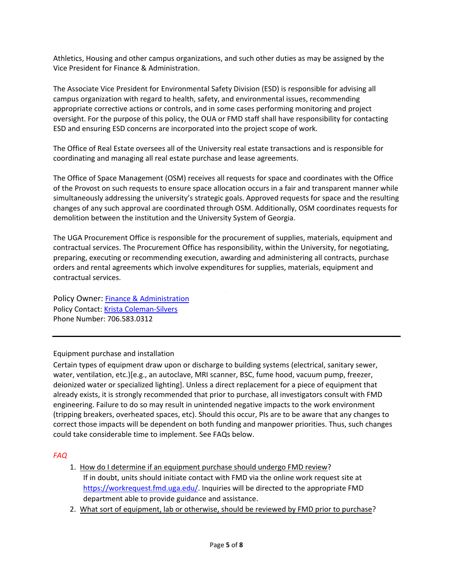Athletics, Housing and other campus organizations, and such other duties as may be assigned by the Vice President for Finance & Administration.

The Associate Vice President for Environmental Safety Division (ESD) is responsible for advising all campus organization with regard to health, safety, and environmental issues, recommending appropriate corrective actions or controls, and in some cases performing monitoring and project oversight. For the purpose of this policy, the OUA or FMD staff shall have responsibility for contacting ESD and ensuring ESD concerns are incorporated into the project scope of work.

The Office of Real Estate oversees all of the University real estate transactions and is responsible for coordinating and managing all real estate purchase and lease agreements.

The Office of Space Management (OSM) receives all requests for space and coordinates with the Office of the Provost on such requests to ensure space allocation occurs in a fair and transparent manner while simultaneously addressing the university's strategic goals. Approved requests for space and the resulting changes of any such approval are coordinated through OSM. Additionally, OSM coordinates requests for demolition between the institution and the University System of Georgia.

The UGA Procurement Office is responsible for the procurement of supplies, materials, equipment and contractual services. The Procurement Office has responsibility, within the University, for negotiating, preparing, executing or recommending execution, awarding and administering all contracts, purchase orders and rental agreements which involve expenditures for supplies, materials, equipment and contractual services.

Policy Owner: [Finance](mailto:info@fmd.uga.edu) & Administration Policy Contact: [Krista](mailto:info@fmd.uga.edu) Coleman-Silvers Phone Number: 706.583.0312

Equipment purchase and installation

Certain types of equipment draw upon or discharge to building systems (electrical, sanitary sewer, water, ventilation, etc.)[e.g., an autoclave, MRI scanner, BSC, fume hood, vacuum pump, freezer, deionized water or specialized lighting]. Unless a direct replacement for a piece of equipment that already exists, it is strongly recommended that prior to purchase, all investigators consult with FMD engineering. Failure to do so may result in unintended negative impacts to the work environment (tripping breakers, overheated spaces, etc). Should this occur, PIs are to be aware that any changes to correct those impacts will be dependent on both funding and manpower priorities. Thus, such changes could take considerable time to implement. See FAQs below.

# *FAQ*

- 1. How do I determine if an equipment purchase should undergo FMD review? If in doubt, units should initiate contact with FMD via the online work request site at [https://workrequest.fmd.uga.edu/.](https://workrequest.fmd.uga.edu/) Inquiries will be directed to the appropriate FMD department able to provide guidance and assistance.
- 2. What sort of equipment, lab or otherwise, should be reviewed by FMD prior to purchase?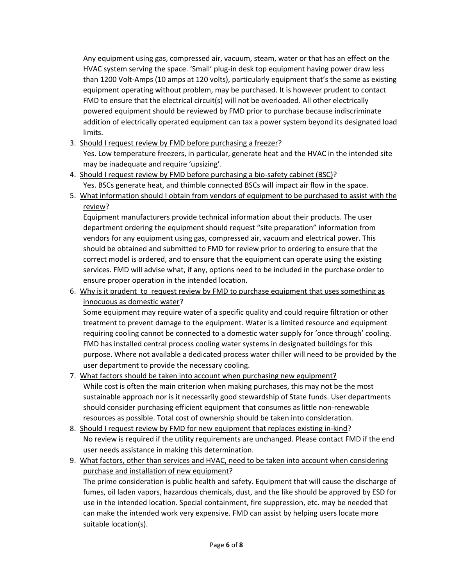Any equipment using gas, compressed air, vacuum, steam, water or that has an effect on the HVAC system serving the space. 'Small' plug-in desk top equipment having power draw less than 1200 Volt-Amps (10 amps at 120 volts), particularly equipment that's the same as existing equipment operating without problem, may be purchased. It is however prudent to contact FMD to ensure that the electrical circuit(s) will not be overloaded. All other electrically powered equipment should be reviewed by FMD prior to purchase because indiscriminate addition of electrically operated equipment can tax a power system beyond its designated load limits.

3. Should I request review by FMD before purchasing a freezer?

Yes. Low temperature freezers, in particular, generate heat and the HVAC in the intended site may be inadequate and require 'upsizing'.

- 4. Should I request review by FMD before purchasing a bio-safety cabinet (BSC)? Yes. BSCs generate heat, and thimble connected BSCs will impact air flow in the space.
- 5. What information should I obtain from vendors of equipment to be purchased to assist with the review?

Equipment manufacturers provide technical information about their products. The user department ordering the equipment should request "site preparation" information from vendors for any equipment using gas, compressed air, vacuum and electrical power. This should be obtained and submitted to FMD for review prior to ordering to ensure that the correct model is ordered, and to ensure that the equipment can operate using the existing services. FMD will advise what, if any, options need to be included in the purchase order to ensure proper operation in the intended location.

6. Why is it prudent to request review by FMD to purchase equipment that uses something as innocuous as domestic water?

Some equipment may require water of a specific quality and could require filtration or other treatment to prevent damage to the equipment. Water is a limited resource and equipment requiring cooling cannot be connected to a domestic water supply for 'once through' cooling. FMD has installed central process cooling water systems in designated buildings for this purpose. Where not available a dedicated process water chiller will need to be provided by the user department to provide the necessary cooling.

- 7. What factors should be taken into account when purchasing new equipment? While cost is often the main criterion when making purchases, this may not be the most sustainable approach nor is it necessarily good stewardship of State funds. User departments should consider purchasing efficient equipment that consumes as little non-renewable resources as possible. Total cost of ownership should be taken into consideration.
- 8. Should I request review by FMD for new equipment that replaces existing in-kind? No review is required if the utility requirements are unchanged. Please contact FMD if the end user needs assistance in making this determination.
- 9. What factors, other than services and HVAC, need to be taken into account when considering purchase and installation of new equipment? The prime consideration is public health and safety. Equipment that will cause the discharge of fumes, oil laden vapors, hazardous chemicals, dust, and the like should be approved by ESD for use in the intended location. Special containment, fire suppression, etc. may be needed that can make the intended work very expensive. FMD can assist by helping users locate more suitable location(s).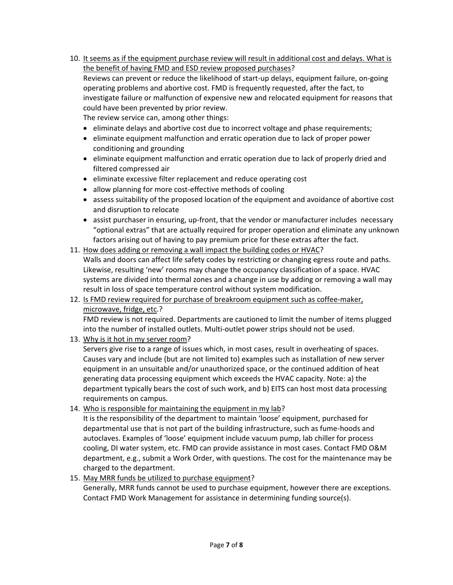- 10. It seems as if the equipment purchase review will result in additional cost and delays. What is the benefit of having FMD and ESD review proposed purchases? Reviews can prevent or reduce the likelihood of start-up delays, equipment failure, on-going operating problems and abortive cost. FMD is frequently requested, after the fact, to investigate failure or malfunction of expensive new and relocated equipment for reasons that could have been prevented by prior review. The review service can, among other things:
	-
	- eliminate delays and abortive cost due to incorrect voltage and phase requirements;
	- eliminate equipment malfunction and erratic operation due to lack of proper power conditioning and grounding
	- eliminate equipment malfunction and erratic operation due to lack of properly dried and filtered compressed air
	- eliminate excessive filter replacement and reduce operating cost
	- allow planning for more cost-effective methods of cooling
	- assess suitability of the proposed location of the equipment and avoidance of abortive cost and disruption to relocate
	- assist purchaser in ensuring, up-front, that the vendor or manufacturer includes necessary "optional extras" that are actually required for proper operation and eliminate any unknown factors arising out of having to pay premium price for these extras after the fact.
- result in loss of space temperature control without system modification. 11. How does adding or removing a wall impact the building codes or HVAC? Walls and doors can affect life safety codes by restricting or changing egress route and paths. Likewise, resulting 'new' rooms may change the occupancy classification of a space. HVAC systems are divided into thermal zones and a change in use by adding or removing a wall may
- 12. Is FMD review required for purchase of breakroom equipment such as coffee-maker, microwave, fridge, etc.?

FMD review is not required. Departments are cautioned to limit the number of items plugged into the number of installed outlets. Multi-outlet power strips should not be used.

13. Why is it hot in my server room?

Servers give rise to a range of issues which, in most cases, result in overheating of spaces. Causes vary and include (but are not limited to) examples such as installation of new server equipment in an unsuitable and/or unauthorized space, or the continued addition of heat generating data processing equipment which exceeds the HVAC capacity. Note: a) the department typically bears the cost of such work, and b) EITS can host most data processing requirements on campus.

14. Who is responsible for maintaining the equipment in my lab?

It is the responsibility of the department to maintain 'loose' equipment, purchased for departmental use that is not part of the building infrastructure, such as fume-hoods and autoclaves. Examples of 'loose' equipment include vacuum pump, lab chiller for process cooling, DI water system, etc. FMD can provide assistance in most cases. Contact FMD O&M department, e.g., submit a Work Order, with questions. The cost for the maintenance may be charged to the department.

15. May MRR funds be utilized to purchase equipment?

Generally, MRR funds cannot be used to purchase equipment, however there are exceptions. Contact FMD Work Management for assistance in determining funding source(s).